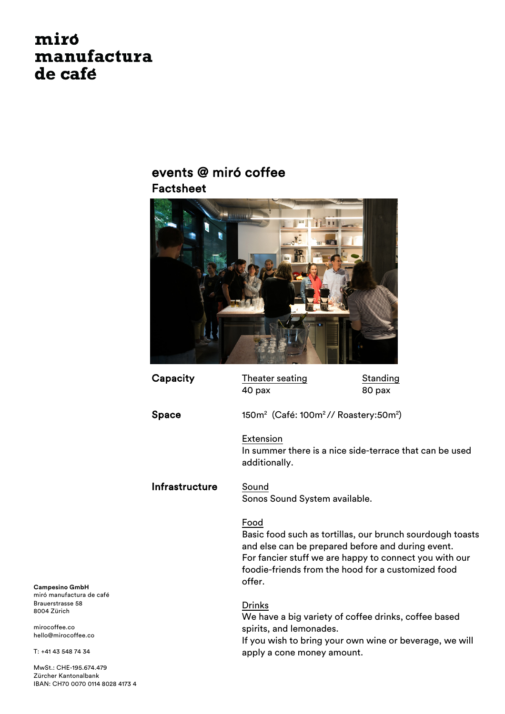# miro manufactura de café

### events @ miró coffee Factsheet



Capacity Theater seating Standing 40 pax 80 pax  $\mathsf{Space} \hspace{1cm} 150\mathsf{m}^2 \; (\mathsf{Caf\acute{e}}\mathrm{:} \ 100\mathsf{m}^2 \text{/} \text{/} \ \mathsf{Roastery:} 50\mathsf{m}^2)$ Extension In summer there is a nice side-terrace that can be used additionally. Infrastructure Sound Sonos Sound System available. Food Basic food such as tortillas, our brunch sourdough toasts and else can be prepared before and during event. For fancier stuff we are happy to connect you with our foodie-friends from the hood for a customized food offer. Drinks We have a big variety of coffee drinks, coffee based spirits, and lemonades. If you wish to bring your own wine or beverage, we will apply a cone money amount.

**Campesino GmbH** miró manufactura de café Brauerstrasse 58 8004 Zürich

mirocoffee.co hello@mirocoffee.co

T: +41 43 548 74 34

MwSt.: CHE-195.674.479 Zürcher Kantonalbank IBAN: CH70 0070 0114 8028 4173 4